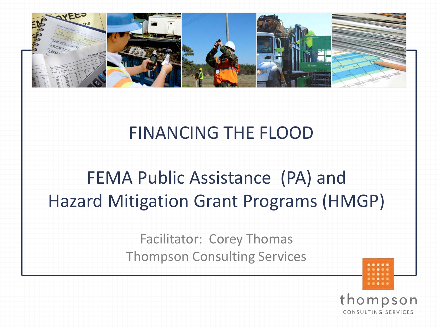

### FINANCING THE FLOOD

### FEMA Public Assistance (PA) and Hazard Mitigation Grant Programs (HMGP)

Facilitator: Corey Thomas Thompson Consulting Services

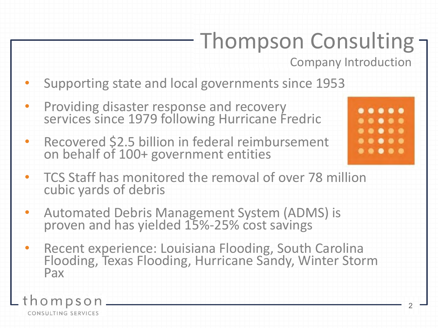|                                                   | <b>Thompson Consulting</b><br><b>Company Introduction</b>                                                                                                                     |
|---------------------------------------------------|-------------------------------------------------------------------------------------------------------------------------------------------------------------------------------|
| $\bullet$                                         | Supporting state and local governments since 1953                                                                                                                             |
| $\bullet$                                         | Providing disaster response and recovery<br>services since 1979 following Hurricane Fredric                                                                                   |
| $\bullet$                                         | Recovered \$2.5 billion in federal reimbursement<br>$\bullet\hspace{0.1cm} \bullet\hspace{0.1cm} \bullet\hspace{0.1cm} \bullet$<br>.<br>on behalf of 100+ government entities |
| $\bullet$                                         | TCS Staff has monitored the removal of over 78 million<br>cubic yards of debris                                                                                               |
| $\bullet$                                         | <b>Automated Debris Management System (ADMS) is</b><br>proven and has yielded 15%-25% cost savings                                                                            |
| $\bullet$                                         | Recent experience: Louisiana Flooding, South Carolina<br>Flooding, Texas Flooding, Hurricane Sandy, Winter Storm<br>Pax                                                       |
| thompson<br>$\overline{2}$<br>CONSULTING SERVICES |                                                                                                                                                                               |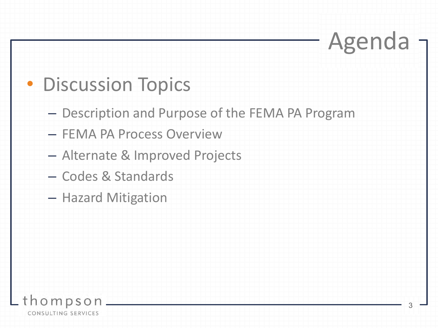# Agenda

### • Discussion Topics

- Description and Purpose of the FEMA PA Program
- FEMA PA Process Overview
- Alternate & Improved Projects
- Codes & Standards
- Hazard Mitigation

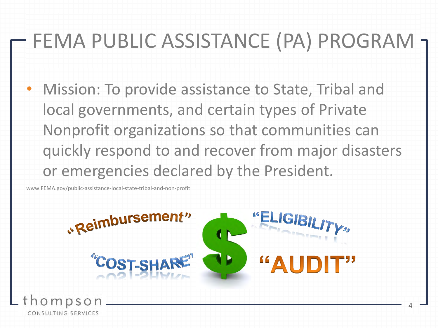### FEMA PUBLIC ASSISTANCE (PA) PROGRAM

• Mission: To provide assistance to State, Tribal and local governments, and certain types of Private Nonprofit organizations so that communities can quickly respond to and recover from major disasters or emergencies declared by the President.

www.FEMA.gov/public-assistance-local-state-tribal-and-non-profit

«Reimbursement" "COST-SI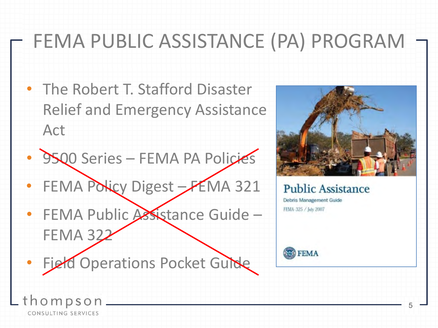## FEMA PUBLIC ASSISTANCE (PA) PROGRAM

- The Robert T. Stafford Disaster Relief and Emergency Assistance Act
- 9500 Series FEMA PA Policies
- FEMA Policy Digest FEMA 321
- FEMA Public Assistance Guide -FEMA 32
- Field Operations Pocket Guide

thompson CONSULTING SERVICES



**Public Assistance** Debris Management Guide FEMA-325 / July 2007



5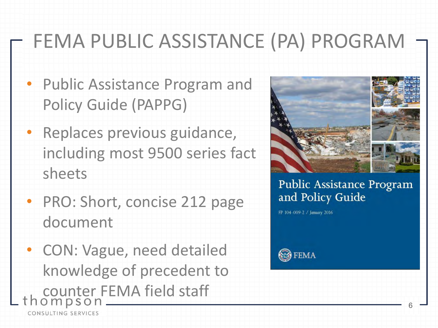## FEMA PUBLIC ASSISTANCE (PA) PROGRAM

- Public Assistance Program and Policy Guide (PAPPG)
- Replaces previous guidance, including most 9500 series fact sheets
- PRO: Short, concise 212 page document
- CON: Vague, need detailed knowledge of precedent to counter FEMA field staff CONSULTING SERVICES



#### Public Assistance Program and Policy Guide

FP 104-009-2 / January 2016

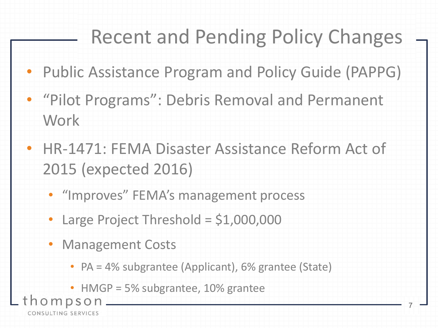### Recent and Pending Policy Changes

- Public Assistance Program and Policy Guide (PAPPG)
- "Pilot Programs": Debris Removal and Permanent Work
- HR-1471: FEMA Disaster Assistance Reform Act of 2015 (expected 2016)
	- "Improves" FEMA's management process
	- Large Project Threshold = \$1,000,000
	- Management Costs
		- PA = 4% subgrantee (Applicant), 6% grantee (State)
		- HMGP = 5% subgrantee, 10% grantee

CONSULTING SERVICES

 $OMDSOP$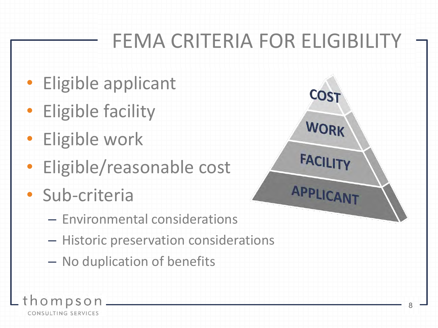### FEMA CRITERIA FOR ELIGIBILIT

**COST** 

**WORK** 

**FACILITY** 

**APPLICANT** 

8

- Eligible applicant
- Eligible facility
- Eligible work
- Eligible/reasonable cost
- Sub-criteria
	- Environmental considerations
	- Historic preservation considerations
	- No duplication of benefits

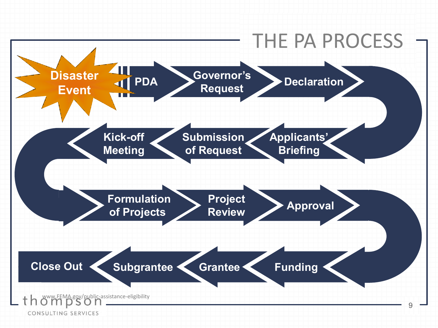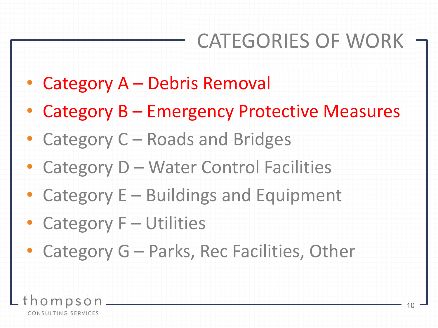### CATEGORIES OF WORK

- Category A Debris Removal
- Category B Emergency Protective Measures
- Category C Roads and Bridges
- Category D Water Control Facilities
- Category E Buildings and Equipment
- Category F Utilities
- Category G Parks, Rec Facilities, Other

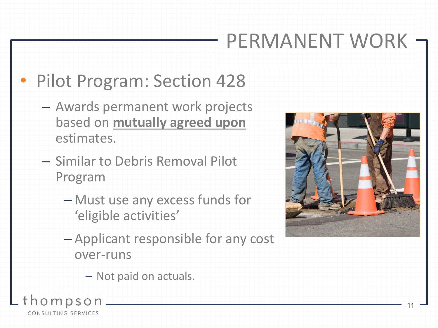## PERMANENT WORK

### Pilot Program: Section 428

- Awards permanent work projects based on **mutually agreed upon**  estimates.
- Similar to Debris Removal Pilot Program
	- Must use any excess funds for 'eligible activities'
	- Applicant responsible for any cost over-runs





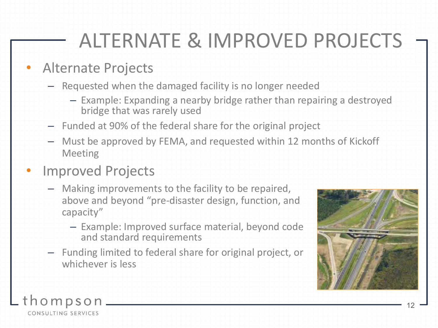## ALTERNATE & IMPROVED PROJECTS

#### • Alternate Projects

- Requested when the damaged facility is no longer needed
	- Example: Expanding a nearby bridge rather than repairing a destroyed bridge that was rarely used
- Funded at 90% of the federal share for the original project
- Must be approved by FEMA, and requested within 12 months of Kickoff Meeting

#### • Improved Projects

- Making improvements to the facility to be repaired, above and beyond "pre-disaster design, function, and capacity"
	- Example: Improved surface material, beyond code and standard requirements
- Funding limited to federal share for original project, or whichever is less



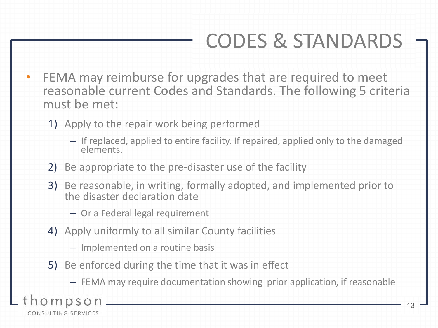### CODES & STANDARDS

- FEMA may reimburse for upgrades that are required to meet reasonable current Codes and Standards. The following 5 criteria must be met:
	- 1) Apply to the repair work being performed
		- If replaced, applied to entire facility. If repaired, applied only to the damaged elements.
	- 2) Be appropriate to the pre-disaster use of the facility
	- 3) Be reasonable, in writing, formally adopted, and implemented prior to the disaster declaration date
		- Or a Federal legal requirement
	- 4) Apply uniformly to all similar County facilities
		- Implemented on a routine basis
	- 5) Be enforced during the time that it was in effect
		- FEMA may require documentation showing prior application, if reasonable

thompson CONSULTING SERVICES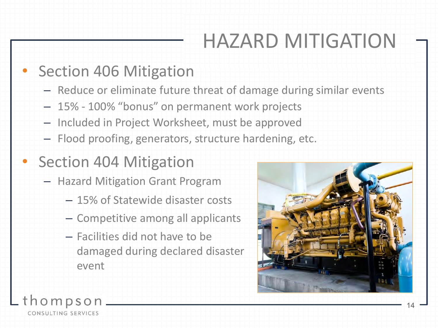## HAZARD MITIGATION

#### **Section 406 Mitigation**

- Reduce or eliminate future threat of damage during similar events
- 15% 100% "bonus" on permanent work projects
- Included in Project Worksheet, must be approved
- Flood proofing, generators, structure hardening, etc.

### **Section 404 Mitigation**

- Hazard Mitigation Grant Program
	- 15% of Statewide disaster costs
	- Competitive among all applicants
	- Facilities did not have to be damaged during declared disaster event



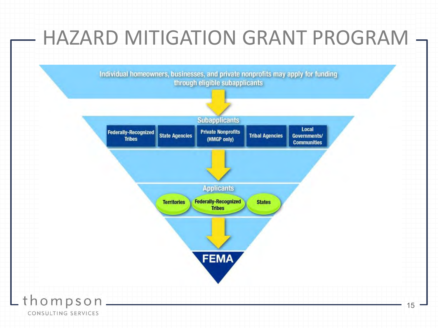### HAZARD MITIGATION GRANT PROGRAM



15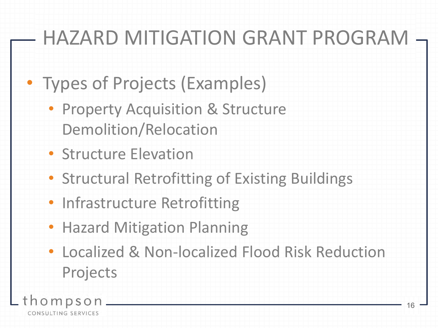## HAZARD MITIGATION GRANT PROGRAM

### • Types of Projects (Examples)

- Property Acquisition & Structure Demolition/Relocation
- Structure Elevation
- Structural Retrofitting of Existing Buildings
- Infrastructure Retrofitting
- Hazard Mitigation Planning
- Localized & Non-localized Flood Risk Reduction Projects

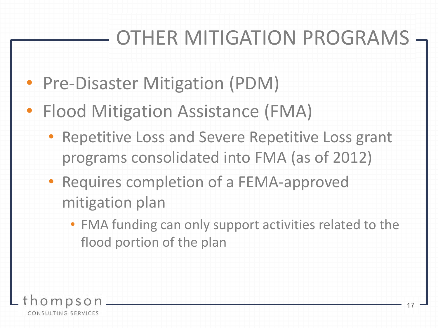## OTHER MITIGATION PROGRAMS

- Pre-Disaster Mitigation (PDM)
- Flood Mitigation Assistance (FMA)
	- Repetitive Loss and Severe Repetitive Loss grant programs consolidated into FMA (as of 2012)
	- Requires completion of a FEMA-approved mitigation plan
		- FMA funding can only support activities related to the flood portion of the plan